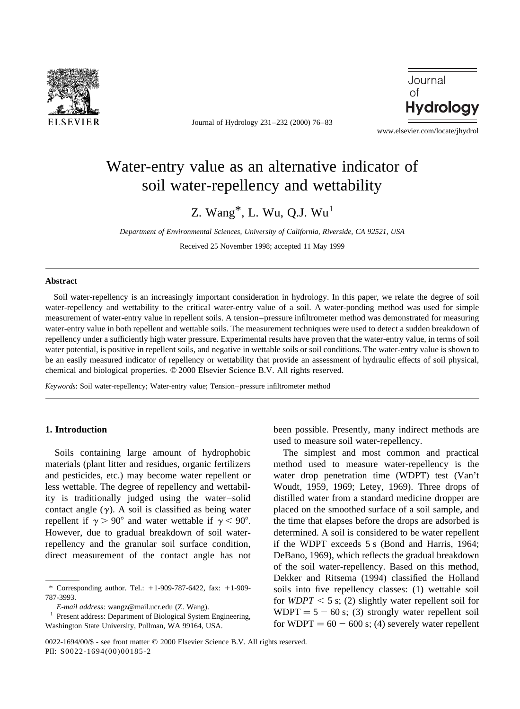

Journal of Hydrology 231–232 (2000) 76–83



www.elsevier.com/locate/jhydrol

# Water-entry value as an alternative indicator of soil water-repellency and wettability

Z. Wang $^*$ , L. Wu, O.J. Wu<sup>1</sup>

*Department of Environmental Sciences, University of California, Riverside, CA 92521, USA*

Received 25 November 1998; accepted 11 May 1999

## **Abstract**

Soil water-repellency is an increasingly important consideration in hydrology. In this paper, we relate the degree of soil water-repellency and wettability to the critical water-entry value of a soil. A water-ponding method was used for simple measurement of water-entry value in repellent soils. A tension–pressure infiltrometer method was demonstrated for measuring water-entry value in both repellent and wettable soils. The measurement techniques were used to detect a sudden breakdown of repellency under a sufficiently high water pressure. Experimental results have proven that the water-entry value, in terms of soil water potential, is positive in repellent soils, and negative in wettable soils or soil conditions. The water-entry value is shown to be an easily measured indicator of repellency or wettability that provide an assessment of hydraulic effects of soil physical, chemical and biological properties.  $© 2000$  Elsevier Science B.V. All rights reserved.

*Keywords*: Soil water-repellency; Water-entry value; Tension–pressure infiltrometer method

# **1. Introduction**

Soils containing large amount of hydrophobic materials (plant litter and residues, organic fertilizers and pesticides, etc.) may become water repellent or less wettable. The degree of repellency and wettability is traditionally judged using the water–solid contact angle  $(y)$ . A soil is classified as being water repellent if  $\gamma > 90^{\circ}$  and water wettable if  $\gamma < 90^{\circ}$ . However, due to gradual breakdown of soil waterrepellency and the granular soil surface condition, direct measurement of the contact angle has not been possible. Presently, many indirect methods are used to measure soil water-repellency.

The simplest and most common and practical method used to measure water-repellency is the water drop penetration time (WDPT) test (Van't Woudt, 1959, 1969; Letey, 1969). Three drops of distilled water from a standard medicine dropper are placed on the smoothed surface of a soil sample, and the time that elapses before the drops are adsorbed is determined. A soil is considered to be water repellent if the WDPT exceeds 5 s (Bond and Harris, 1964; DeBano, 1969), which reflects the gradual breakdown of the soil water-repellency. Based on this method, Dekker and Ritsema (1994) classified the Holland soils into five repellency classes: (1) wettable soil for *WDPT*  $\lt$  5 s; (2) slightly water repellent soil for  $WDPT = 5 - 60$  s; (3) strongly water repellent soil for WDPT =  $60 - 600$  s; (4) severely water repellent

<sup>\*</sup> Corresponding author. Tel.:  $+1-909-787-6422$ , fax:  $+1-909-$ 787-3993.

*E-mail address:* wangz@mail.ucr.edu (Z. Wang).

Present address: Department of Biological System Engineering, Washington State University, Pullman, WA 99164, USA.

<sup>0022-1694/00/\$ -</sup> see front matter © 2000 Elsevier Science B.V. All rights reserved. PII: S0022-1694(00)00185-2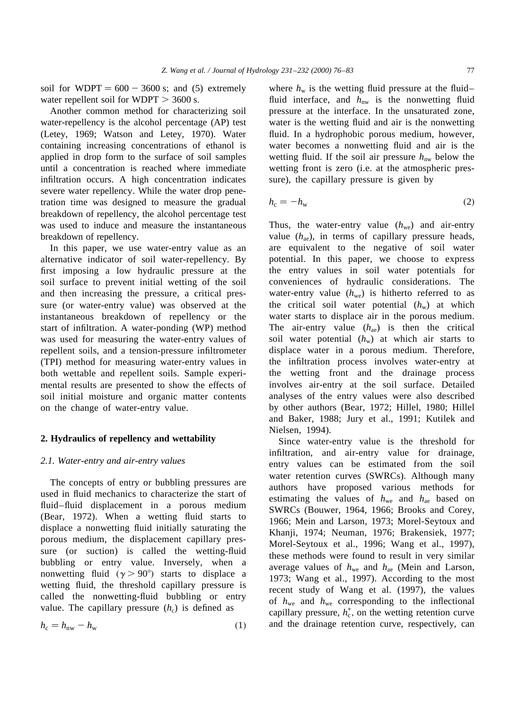soil for  $WDPT = 600 - 3600$  s; and (5) extremely water repellent soil for  $WDPT > 3600$  s.

Another common method for characterizing soil water-repellency is the alcohol percentage (AP) test (Letey, 1969; Watson and Letey, 1970). Water containing increasing concentrations of ethanol is applied in drop form to the surface of soil samples until a concentration is reached where immediate infiltration occurs. A high concentration indicates severe water repellency. While the water drop penetration time was designed to measure the gradual breakdown of repellency, the alcohol percentage test was used to induce and measure the instantaneous breakdown of repellency.

In this paper, we use water-entry value as an alternative indicator of soil water-repellency. By first imposing a low hydraulic pressure at the soil surface to prevent initial wetting of the soil and then increasing the pressure, a critical pressure (or water-entry value) was observed at the instantaneous breakdown of repellency or the start of infiltration. A water-ponding (WP) method was used for measuring the water-entry values of repellent soils, and a tension-pressure infiltrometer (TPI) method for measuring water-entry values in both wettable and repellent soils. Sample experimental results are presented to show the effects of soil initial moisture and organic matter contents on the change of water-entry value.

# **2. Hydraulics of repellency and wettability**

## *2.1. Water-entry and air-entry values*

The concepts of entry or bubbling pressures are used in fluid mechanics to characterize the start of fluid–fluid displacement in a porous medium (Bear, 1972). When a wetting fluid starts to displace a nonwetting fluid initially saturating the porous medium, the displacement capillary pressure (or suction) is called the wetting-fluid bubbling or entry value. Inversely, when a nonwetting fluid  $(y > 90^{\circ})$  starts to displace a wetting fluid, the threshold capillary pressure is called the nonwetting-fluid bubbling or entry value. The capillary pressure  $(h_c)$  is defined as

$$
h_{\rm c} = h_{\rm nw} - h_{\rm w} \tag{1}
$$

where  $h_w$  is the wetting fluid pressure at the fluid– fluid interface, and  $h_{nw}$  is the nonwetting fluid pressure at the interface. In the unsaturated zone, water is the wetting fluid and air is the nonwetting fluid. In a hydrophobic porous medium, however, water becomes a nonwetting fluid and air is the wetting fluid. If the soil air pressure  $h_{nw}$  below the wetting front is zero (i.e. at the atmospheric pressure), the capillary pressure is given by

$$
h_{\rm c} = -h_{\rm w} \tag{2}
$$

Thus, the water-entry value  $(h_{we})$  and air-entry value (*h*ae), in terms of capillary pressure heads, are equivalent to the negative of soil water potential. In this paper, we choose to express the entry values in soil water potentials for conveniences of hydraulic considerations. The water-entry value  $(h_{we})$  is hitherto referred to as the critical soil water potential  $(h_w)$  at which water starts to displace air in the porous medium. The air-entry value  $(h_{ae})$  is then the critical soil water potential  $(h_w)$  at which air starts to displace water in a porous medium. Therefore, the infiltration process involves water-entry at the wetting front and the drainage process involves air-entry at the soil surface. Detailed analyses of the entry values were also described by other authors (Bear, 1972; Hillel, 1980; Hillel and Baker, 1988; Jury et al., 1991; Kutilek and Nielsen, 1994).

Since water-entry value is the threshold for infiltration, and air-entry value for drainage, entry values can be estimated from the soil water retention curves (SWRCs). Although many authors have proposed various methods for estimating the values of  $h_{\text{we}}$  and  $h_{\text{ae}}$  based on SWRCs (Bouwer, 1964, 1966; Brooks and Corey, 1966; Mein and Larson, 1973; Morel-Seytoux and Khanji, 1974; Neuman, 1976; Brakensiek, 1977; Morel-Seytoux et al., 1996; Wang et al., 1997), these methods were found to result in very similar average values of *h*we and *h*ae (Mein and Larson, 1973; Wang et al., 1997). According to the most recent study of Wang et al. (1997), the values of  $h_{\text{we}}$  and  $h_{\text{we}}$  corresponding to the inflectional capillary pressure,  $h_c^*$ , on the wetting retention curve and the drainage retention curve, respectively, can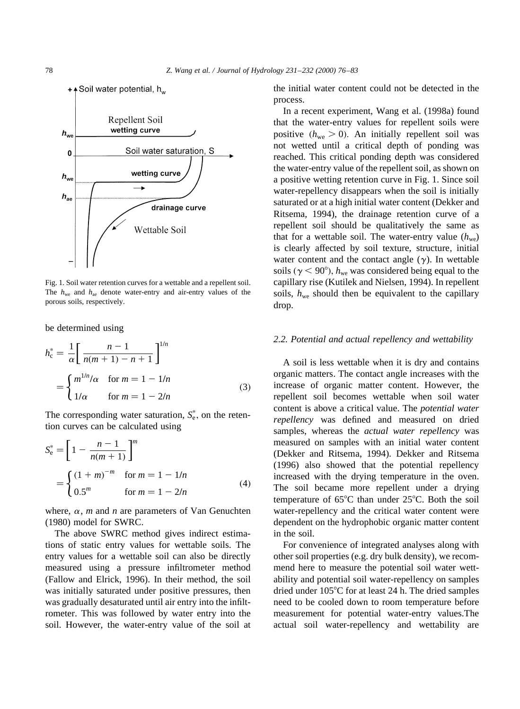

Fig. 1. Soil water retention curves for a wettable and a repellent soil. The  $h_{\text{we}}$  and  $h_{\text{ae}}$  denote water-entry and air-entry values of the porous soils, respectively.

be determined using

$$
h_{c}^{*} = \frac{1}{\alpha} \left[ \frac{n-1}{n(m+1) - n + 1} \right]^{1/n}
$$
  
= 
$$
\begin{cases} m^{1/n}/\alpha & \text{for } m = 1 - 1/n \\ 1/\alpha & \text{for } m = 1 - 2/n \end{cases}
$$
 (3)

The corresponding water saturation,  $S_e^*$ , on the retention curves can be calculated using

$$
S_e^* = \left[1 - \frac{n-1}{n(m+1)}\right]^m
$$
  
= 
$$
\begin{cases} (1+m)^{-m} & \text{for } m = 1 - 1/n \\ 0.5^m & \text{for } m = 1 - 2/n \end{cases}
$$
 (4)

where,  $\alpha$ , *m* and *n* are parameters of Van Genuchten (1980) model for SWRC.

The above SWRC method gives indirect estimations of static entry values for wettable soils. The entry values for a wettable soil can also be directly measured using a pressure infiltrometer method (Fallow and Elrick, 1996). In their method, the soil was initially saturated under positive pressures, then was gradually desaturated until air entry into the infiltrometer. This was followed by water entry into the soil. However, the water-entry value of the soil at the initial water content could not be detected in the process.

In a recent experiment, Wang et al. (1998a) found that the water-entry values for repellent soils were positive  $(h_{\text{we}} > 0)$ . An initially repellent soil was not wetted until a critical depth of ponding was reached. This critical ponding depth was considered the water-entry value of the repellent soil, as shown on a positive wetting retention curve in Fig. 1. Since soil water-repellency disappears when the soil is initially saturated or at a high initial water content (Dekker and Ritsema, 1994), the drainage retention curve of a repellent soil should be qualitatively the same as that for a wettable soil. The water-entry value  $(h_{we})$ is clearly affected by soil texture, structure, initial water content and the contact angle  $(y)$ . In wettable soils ( $\gamma$  < 90°),  $h_{\text{we}}$  was considered being equal to the capillary rise (Kutilek and Nielsen, 1994). In repellent soils,  $h_{\text{we}}$  should then be equivalent to the capillary drop.

#### *2.2. Potential and actual repellency and wettability*

A soil is less wettable when it is dry and contains organic matters. The contact angle increases with the increase of organic matter content. However, the repellent soil becomes wettable when soil water content is above a critical value. The *potential water repellency* was defined and measured on dried samples, whereas the *actual water repellency* was measured on samples with an initial water content (Dekker and Ritsema, 1994). Dekker and Ritsema (1996) also showed that the potential repellency increased with the drying temperature in the oven. The soil became more repellent under a drying temperature of  $65^{\circ}$ C than under  $25^{\circ}$ C. Both the soil water-repellency and the critical water content were dependent on the hydrophobic organic matter content in the soil.

For convenience of integrated analyses along with other soil properties (e.g. dry bulk density), we recommend here to measure the potential soil water wettability and potential soil water-repellency on samples dried under  $105^{\circ}$ C for at least 24 h. The dried samples need to be cooled down to room temperature before measurement for potential water-entry values.The actual soil water-repellency and wettability are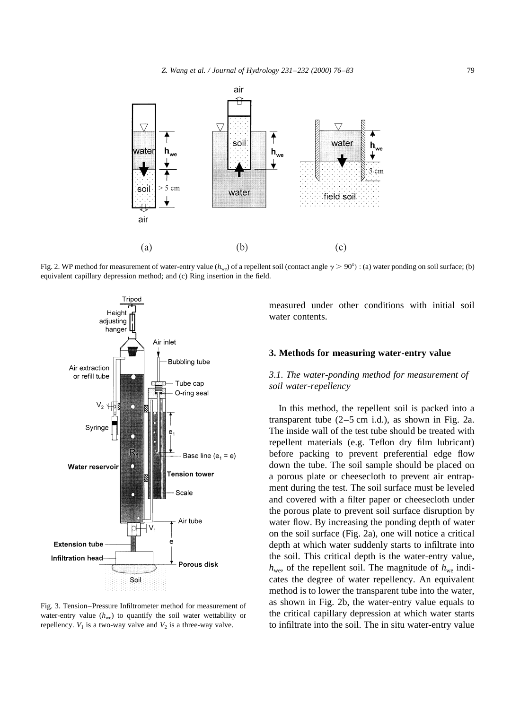

Fig. 2. WP method for measurement of water-entry value ( $h_{\text{we}}$ ) of a repellent soil (contact angle  $\gamma > 90^{\circ}$ ) : (a) water ponding on soil surface; (b) equivalent capillary depression method; and (c) Ring insertion in the field.



Fig. 3. Tension–Pressure Infiltrometer method for measurement of water-entry value  $(h_{we})$  to quantify the soil water wettability or repellency.  $V_1$  is a two-way valve and  $V_2$  is a three-way valve.

measured under other conditions with initial soil water contents.

# **3. Methods for measuring water-entry value**

# *3.1. The water-ponding method for measurement of soil water-repellency*

In this method, the repellent soil is packed into a transparent tube  $(2-5 \text{ cm } i.d.)$ , as shown in Fig. 2a. The inside wall of the test tube should be treated with repellent materials (e.g. Teflon dry film lubricant) before packing to prevent preferential edge flow down the tube. The soil sample should be placed on a porous plate or cheesecloth to prevent air entrapment during the test. The soil surface must be leveled and covered with a filter paper or cheesecloth under the porous plate to prevent soil surface disruption by water flow. By increasing the ponding depth of water on the soil surface (Fig. 2a), one will notice a critical depth at which water suddenly starts to infiltrate into the soil. This critical depth is the water-entry value,  $h_{\text{we}}$ , of the repellent soil. The magnitude of  $h_{\text{we}}$  indicates the degree of water repellency. An equivalent method is to lower the transparent tube into the water, as shown in Fig. 2b, the water-entry value equals to the critical capillary depression at which water starts to infiltrate into the soil. The in situ water-entry value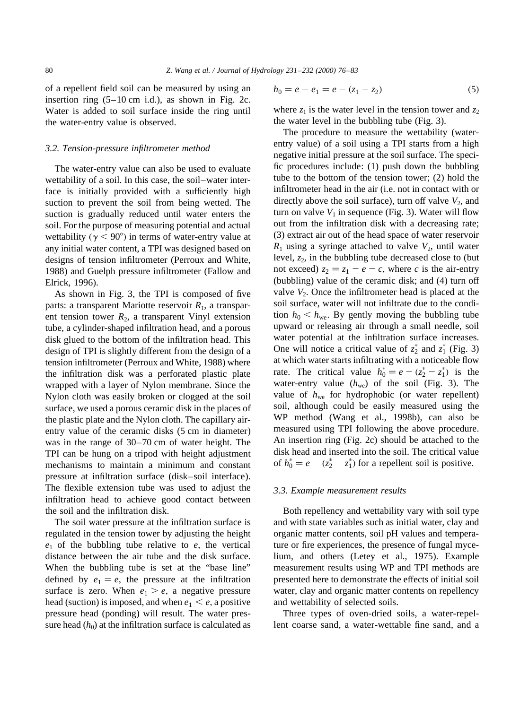of a repellent field soil can be measured by using an insertion ring (5–10 cm i.d.), as shown in Fig. 2c. Water is added to soil surface inside the ring until the water-entry value is observed.

### *3.2. Tension-pressure infiltrometer method*

The water-entry value can also be used to evaluate wettability of a soil. In this case, the soil–water interface is initially provided with a sufficiently high suction to prevent the soil from being wetted. The suction is gradually reduced until water enters the soil. For the purpose of measuring potential and actual wettability ( $\gamma$  < 90°) in terms of water-entry value at any initial water content, a TPI was designed based on designs of tension infiltrometer (Perroux and White, 1988) and Guelph pressure infiltrometer (Fallow and Elrick, 1996).

As shown in Fig. 3, the TPI is composed of five parts: a transparent Mariotte reservoir *R*1, a transparent tension tower  $R_2$ , a transparent Vinyl extension tube, a cylinder-shaped infiltration head, and a porous disk glued to the bottom of the infiltration head. This design of TPI is slightly different from the design of a tension infiltrometer (Perroux and White, 1988) where the infiltration disk was a perforated plastic plate wrapped with a layer of Nylon membrane. Since the Nylon cloth was easily broken or clogged at the soil surface, we used a porous ceramic disk in the places of the plastic plate and the Nylon cloth. The capillary airentry value of the ceramic disks (5 cm in diameter) was in the range of 30–70 cm of water height. The TPI can be hung on a tripod with height adjustment mechanisms to maintain a minimum and constant pressure at infiltration surface (disk–soil interface). The flexible extension tube was used to adjust the infiltration head to achieve good contact between the soil and the infiltration disk.

The soil water pressure at the infiltration surface is regulated in the tension tower by adjusting the height  $e_1$  of the bubbling tube relative to  $e$ , the vertical distance between the air tube and the disk surface. When the bubbling tube is set at the "base line" defined by  $e_1 = e$ , the pressure at the infiltration surface is zero. When  $e_1 > e$ , a negative pressure head (suction) is imposed, and when  $e_1 \leq e$ , a positive pressure head (ponding) will result. The water pressure head  $(h_0)$  at the infiltration surface is calculated as

$$
h_0 = e - e_1 = e - (z_1 - z_2) \tag{5}
$$

where  $z_1$  is the water level in the tension tower and  $z_2$ the water level in the bubbling tube (Fig. 3).

The procedure to measure the wettability (waterentry value) of a soil using a TPI starts from a high negative initial pressure at the soil surface. The specific procedures include: (1) push down the bubbling tube to the bottom of the tension tower; (2) hold the infiltrometer head in the air (i.e. not in contact with or directly above the soil surface), turn off valve  $V_2$ , and turn on valve  $V_1$  in sequence (Fig. 3). Water will flow out from the infiltration disk with a decreasing rate; (3) extract air out of the head space of water reservoir  $R_1$  using a syringe attached to valve  $V_2$ , until water level,  $z_2$ , in the bubbling tube decreased close to (but not exceed)  $z_2 = z_1 - e - c$ , where *c* is the air-entry (bubbling) value of the ceramic disk; and (4) turn off valve  $V_2$ . Once the infiltrometer head is placed at the soil surface, water will not infiltrate due to the condition  $h_0 < h_{\text{we}}$ . By gently moving the bubbling tube upward or releasing air through a small needle, soil water potential at the infiltration surface increases. One will notice a critical value of  $z_2^*$  and  $z_1^*$  (Fig. 3) at which water starts infiltrating with a noticeable flow rate. The critical value  $h_0^* = e - (z_2^* - z_1^*)$  is the water-entry value (*h*we) of the soil (Fig. 3). The value of  $h_{we}$  for hydrophobic (or water repellent) soil, although could be easily measured using the WP method (Wang et al., 1998b), can also be measured using TPI following the above procedure. An insertion ring (Fig. 2c) should be attached to the disk head and inserted into the soil. The critical value of  $h_0^* = e - (z_2^* - z_1^*)$  for a repellent soil is positive.

## *3.3. Example measurement results*

Both repellency and wettability vary with soil type and with state variables such as initial water, clay and organic matter contents, soil pH values and temperature or fire experiences, the presence of fungal mycelium, and others (Letey et al., 1975). Example measurement results using WP and TPI methods are presented here to demonstrate the effects of initial soil water, clay and organic matter contents on repellency and wettability of selected soils.

Three types of oven-dried soils, a water-repellent coarse sand, a water-wettable fine sand, and a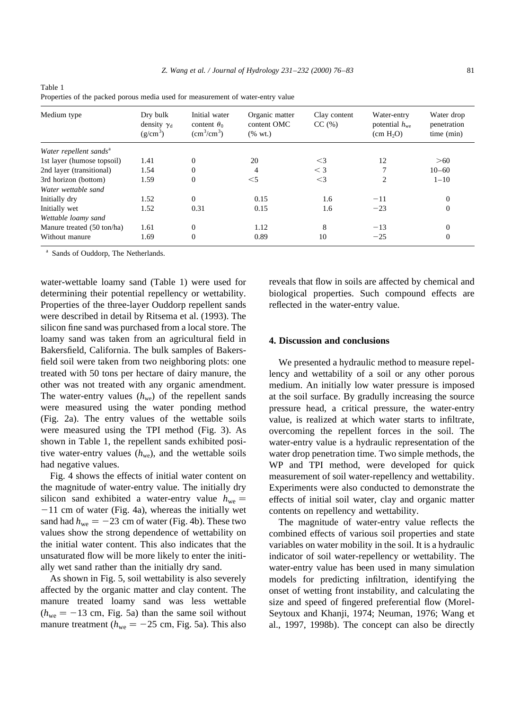| Medium type                        | Dry bulk<br>density $\gamma_d$<br>$(g/cm^3)$ | Initial water<br>content $\theta_0$<br>$\text{cm}^3/\text{cm}^3$ ) | Organic matter<br>content OMC<br>$(% \text{ wt.})$ | Clay content<br>CC(%) | Water-entry<br>potential $h_{we}$<br>(cm H <sub>2</sub> O) | Water drop<br>penetration<br>time (min) |
|------------------------------------|----------------------------------------------|--------------------------------------------------------------------|----------------------------------------------------|-----------------------|------------------------------------------------------------|-----------------------------------------|
| Water repellent sands <sup>a</sup> |                                              |                                                                    |                                                    |                       |                                                            |                                         |
| 1st layer (humose topsoil)         | 1.41                                         | $\mathbf{0}$                                                       | 20                                                 | $<$ 3                 | 12                                                         | >60                                     |
| 2nd layer (transitional)           | 1.54                                         | $\mathbf{0}$                                                       | 4                                                  | $\leq$ 3              |                                                            | $10 - 60$                               |
| 3rd horizon (bottom)               | 1.59                                         | $\mathbf{0}$                                                       | $<$ 5                                              | $\leq$ 3              | $\overline{2}$                                             | $1 - 10$                                |
| Water wettable sand                |                                              |                                                                    |                                                    |                       |                                                            |                                         |
| Initially dry                      | 1.52                                         | $\mathbf{0}$                                                       | 0.15                                               | 1.6                   | $-11$                                                      | $\Omega$                                |
| Initially wet                      | 1.52                                         | 0.31                                                               | 0.15                                               | 1.6                   | $-23$                                                      | $\overline{0}$                          |
| Wettable loamy sand                |                                              |                                                                    |                                                    |                       |                                                            |                                         |
| Manure treated (50 ton/ha)         | 1.61                                         | $\mathbf{0}$                                                       | 1.12                                               | 8                     | $-13$                                                      | $\Omega$                                |
| Without manure                     | 1.69                                         | $\mathbf{0}$                                                       | 0.89                                               | 10                    | $-25$                                                      | $\mathbf{0}$                            |

Properties of the packed porous media used for measurement of water-entry value

Sands of Ouddorp, The Netherlands.

Table 1

water-wettable loamy sand (Table 1) were used for determining their potential repellency or wettability. Properties of the three-layer Ouddorp repellent sands were described in detail by Ritsema et al. (1993). The silicon fine sand was purchased from a local store. The loamy sand was taken from an agricultural field in Bakersfield, California. The bulk samples of Bakersfield soil were taken from two neighboring plots: one treated with 50 tons per hectare of dairy manure, the other was not treated with any organic amendment. The water-entry values  $(h_{we})$  of the repellent sands were measured using the water ponding method (Fig. 2a). The entry values of the wettable soils were measured using the TPI method (Fig. 3). As shown in Table 1, the repellent sands exhibited positive water-entry values  $(h_{we})$ , and the wettable soils had negative values.

Fig. 4 shows the effects of initial water content on the magnitude of water-entry value. The initially dry silicon sand exhibited a water-entry value  $h_{we} =$  $-11$  cm of water (Fig. 4a), whereas the initially wet sand had  $h_{we} = -23$  cm of water (Fig. 4b). These two values show the strong dependence of wettability on the initial water content. This also indicates that the unsaturated flow will be more likely to enter the initially wet sand rather than the initially dry sand.

As shown in Fig. 5, soil wettability is also severely affected by the organic matter and clay content. The manure treated loamy sand was less wettable  $(h_{\text{we}} = -13 \text{ cm}, \text{ Fig. 5a})$  than the same soil without manure treatment ( $h_{we} = -25$  cm, Fig. 5a). This also

reveals that flow in soils are affected by chemical and biological properties. Such compound effects are reflected in the water-entry value.

## **4. Discussion and conclusions**

We presented a hydraulic method to measure repellency and wettability of a soil or any other porous medium. An initially low water pressure is imposed at the soil surface. By gradully increasing the source pressure head, a critical pressure, the water-entry value, is realized at which water starts to infiltrate, overcoming the repellent forces in the soil. The water-entry value is a hydraulic representation of the water drop penetration time. Two simple methods, the WP and TPI method, were developed for quick measurement of soil water-repellency and wettability. Experiments were also conducted to demonstrate the effects of initial soil water, clay and organic matter contents on repellency and wettability.

The magnitude of water-entry value reflects the combined effects of various soil properties and state variables on water mobility in the soil. It is a hydraulic indicator of soil water-repellency or wettability. The water-entry value has been used in many simulation models for predicting infiltration, identifying the onset of wetting front instability, and calculating the size and speed of fingered preferential flow (Morel-Seytoux and Khanji, 1974; Neuman, 1976; Wang et al., 1997, 1998b). The concept can also be directly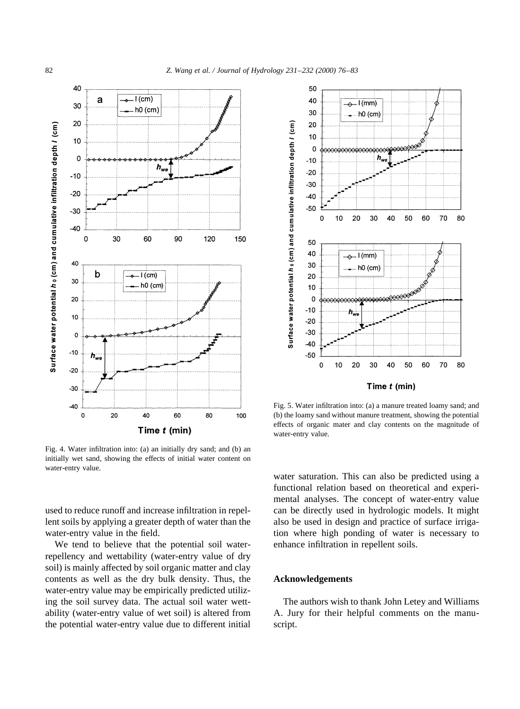

Fig. 4. Water infiltration into: (a) an initially dry sand; and (b) an initially wet sand, showing the effects of initial water content on water-entry value.

used to reduce runoff and increase infiltration in repellent soils by applying a greater depth of water than the water-entry value in the field.

We tend to believe that the potential soil waterrepellency and wettability (water-entry value of dry soil) is mainly affected by soil organic matter and clay contents as well as the dry bulk density. Thus, the water-entry value may be empirically predicted utilizing the soil survey data. The actual soil water wettability (water-entry value of wet soil) is altered from the potential water-entry value due to different initial



Fig. 5. Water infiltration into: (a) a manure treated loamy sand; and (b) the loamy sand without manure treatment, showing the potential effects of organic mater and clay contents on the magnitude of water-entry value.

water saturation. This can also be predicted using a functional relation based on theoretical and experimental analyses. The concept of water-entry value can be directly used in hydrologic models. It might also be used in design and practice of surface irrigation where high ponding of water is necessary to enhance infiltration in repellent soils.

# **Acknowledgements**

The authors wish to thank John Letey and Williams A. Jury for their helpful comments on the manuscript.